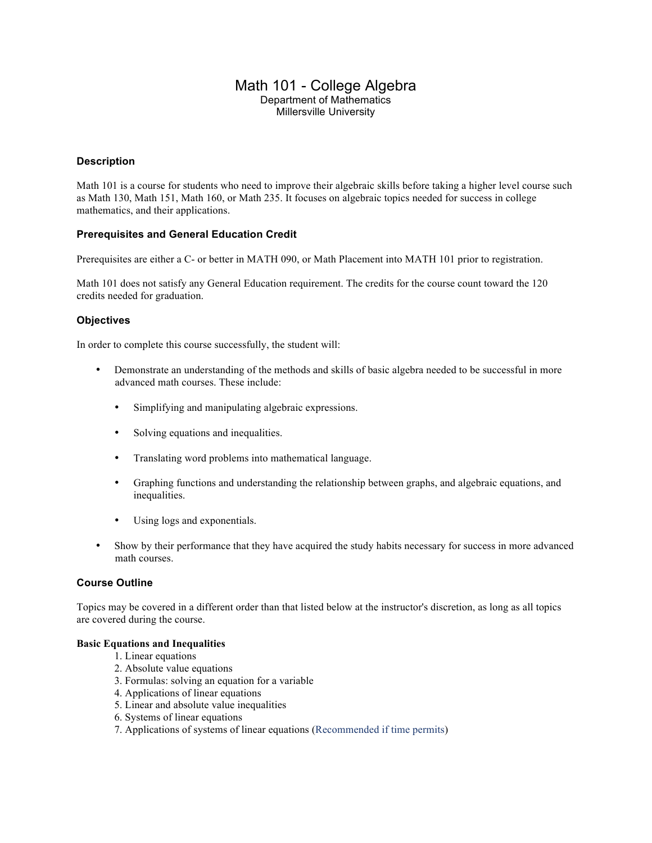# Math 101 - College Algebra

Department of Mathematics Millersville University

# **Description**

Math 101 is a course for students who need to improve their algebraic skills before taking a higher level course such as Math 130, Math 151, Math 160, or Math 235. It focuses on algebraic topics needed for success in college mathematics, and their applications.

# **Prerequisites and General Education Credit**

Prerequisites are either a C- or better in MATH 090, or Math Placement into MATH 101 prior to registration.

Math 101 does not satisfy any General Education requirement. The credits for the course count toward the 120 credits needed for graduation.

#### **Objectives**

In order to complete this course successfully, the student will:

- Demonstrate an understanding of the methods and skills of basic algebra needed to be successful in more advanced math courses. These include:
	- Simplifying and manipulating algebraic expressions.
	- Solving equations and inequalities.
	- Translating word problems into mathematical language.
	- Graphing functions and understanding the relationship between graphs, and algebraic equations, and inequalities.
	- Using logs and exponentials.
- Show by their performance that they have acquired the study habits necessary for success in more advanced math courses.

# **Course Outline**

Topics may be covered in a different order than that listed below at the instructor's discretion, as long as all topics are covered during the course.

#### **Basic Equations and Inequalities**

- 1. Linear equations
- 2. Absolute value equations
- 3. Formulas: solving an equation for a variable
- 4. Applications of linear equations
- 5. Linear and absolute value inequalities
- 6. Systems of linear equations
- 7. Applications of systems of linear equations (Recommended if time permits)